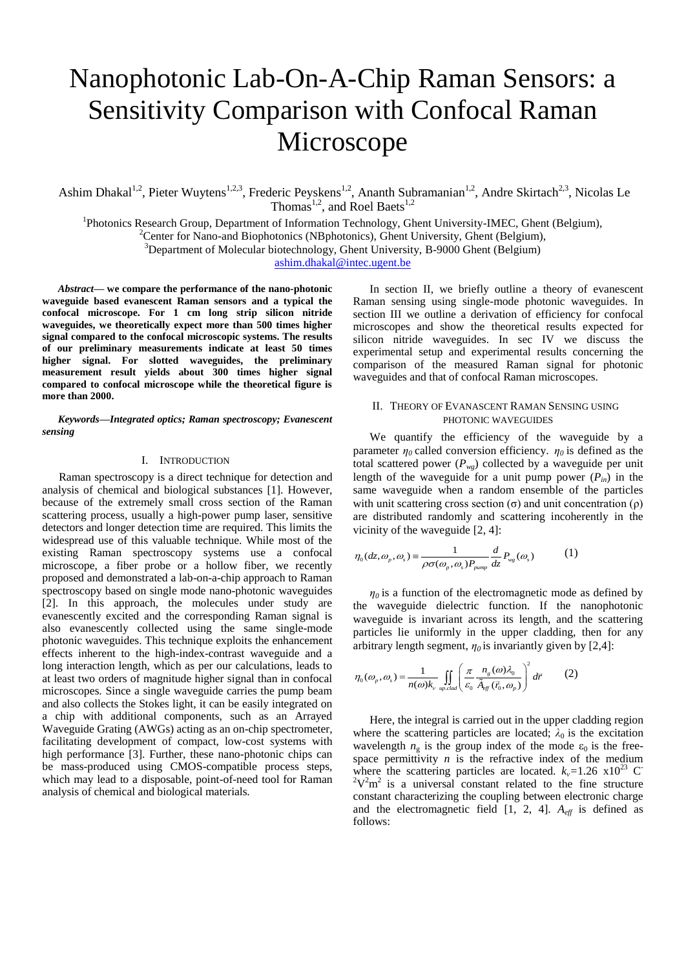# Nanophotonic Lab-On-A-Chip Raman Sensors: a Sensitivity Comparison with Confocal Raman Microscope

Ashim Dhakal<sup>1,2</sup>, Pieter Wuytens<sup>1,2,3</sup>, Frederic Peyskens<sup>1,2</sup>, Ananth Subramanian<sup>1,2</sup>, Andre Skirtach<sup>2,3</sup>, Nicolas Le Thomas<sup>1,2</sup>, and Roel Baets<sup>1,2</sup>

<sup>1</sup>Photonics Research Group, Department of Information Technology, Ghent University-IMEC, Ghent (Belgium), <sup>2</sup>Center for Nano-and Biophotonics (NBphotonics), Ghent University, Ghent (Belgium),

 $3$ Department of Molecular biotechnology, Ghent University, B-9000 Ghent (Belgium)

[ashim.dhakal@intec.ugent.be](mailto:ashim.dhakal@intec.ugent.be)

*Abstract***— we compare the performance of the nano-photonic waveguide based evanescent Raman sensors and a typical the confocal microscope. For 1 cm long strip silicon nitride waveguides, we theoretically expect more than 500 times higher signal compared to the confocal microscopic systems. The results of our preliminary measurements indicate at least 50 times higher signal. For slotted waveguides, the preliminary measurement result yields about 300 times higher signal compared to confocal microscope while the theoretical figure is more than 2000.**

*Keywords—Integrated optics; Raman spectroscopy; Evanescent sensing*

## I. INTRODUCTION

Raman spectroscopy is a direct technique for detection and analysis of chemical and biological substances [1]. However, because of the extremely small cross section of the Raman scattering process, usually a high-power pump laser, sensitive detectors and longer detection time are required. This limits the widespread use of this valuable technique. While most of the existing Raman spectroscopy systems use a confocal microscope, a fiber probe or a hollow fiber, we recently proposed and demonstrated a lab-on-a-chip approach to Raman spectroscopy based on single mode nano-photonic waveguides [2]. In this approach, the molecules under study are evanescently excited and the corresponding Raman signal is also evanescently collected using the same single-mode photonic waveguides. This technique exploits the enhancement effects inherent to the high-index-contrast waveguide and a long interaction length, which as per our calculations, leads to at least two orders of magnitude higher signal than in confocal microscopes. Since a single waveguide carries the pump beam and also collects the Stokes light, it can be easily integrated on a chip with additional components, such as an Arrayed Waveguide Grating (AWGs) acting as an on-chip spectrometer, facilitating development of compact, low-cost systems with high performance [3]. Further, these nano-photonic chips can be mass-produced using CMOS-compatible process steps, which may lead to a disposable, point-of-need tool for Raman analysis of chemical and biological materials.

In section II, we briefly outline a theory of evanescent Raman sensing using single-mode photonic waveguides. In section III we outline a derivation of efficiency for confocal microscopes and show the theoretical results expected for silicon nitride waveguides. In sec IV we discuss the experimental setup and experimental results concerning the comparison of the measured Raman signal for photonic waveguides and that of confocal Raman microscopes.

## II. THEORY OF EVANASCENT RAMAN SENSING USING PHOTONIC WAVEGUIDES

We quantify the efficiency of the waveguide by a parameter  $\eta_0$  called conversion efficiency.  $\eta_0$  is defined as the total scattered power  $(P_{we})$  collected by a waveguide per unit length of the waveguide for a unit pump power  $(P_{in})$  in the same waveguide when a random ensemble of the particles with unit scattering cross section  $(\sigma)$  and unit concentration  $(\rho)$ are distributed randomly and scattering incoherently in the vicinity of the waveguide [2, 4]:

$$
\eta_0(dz, \omega_p, \omega_s) = \frac{1}{\rho \sigma(\omega_p, \omega_s) P_{pump}} \frac{d}{dz} P_{wg}(\omega_s)
$$
 (1)

 $\eta$ <sup>0</sup> is a function of the electromagnetic mode as defined by the waveguide dielectric function. If the nanophotonic waveguide is invariant across its length, and the scattering particles lie uniformly in the upper cladding, then for any arbitrary length segment,  $\eta_0$  is invariantly given by [2,4]:

$$
\eta_0(\omega_p, \omega_s) = \frac{1}{n(\omega)k_v} \iint_{w_r \text{c}d\omega} \left(\frac{\pi}{\varepsilon_0} \frac{n_s(\omega)\lambda_0}{\tilde{A}_{\text{eff}}(\vec{r}_0, \omega_p)}\right)^2 d\vec{r}
$$
 (2)

Here, the integral is carried out in the upper cladding region where the scattering particles are located;  $\lambda_0$  is the excitation wavelength  $n_g$  is the group index of the mode  $\varepsilon_0$  is the freespace permittivity  $n$  is the refractive index of the medium where the scattering particles are located.  $k_v=1.26 \times 10^{23}$  C  $2V^2m^2$  is a universal constant related to the fine structure constant characterizing the coupling between electronic charge and the electromagnetic field [1, 2, 4].  $A_{\text{eff}}$  is defined as follows: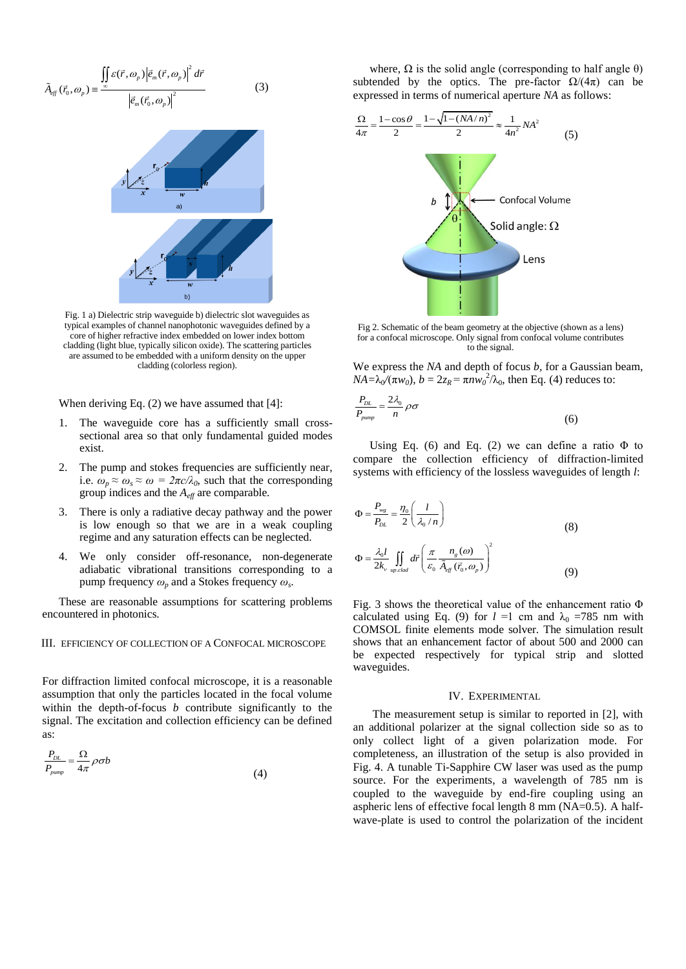$$
\tilde{A}_{eff}(\vec{r}_0, \omega_p) = \frac{\iint\limits_{-\infty}^{\infty} \mathcal{E}(\vec{r}, \omega_p) \left| \vec{e}_m(\vec{r}, \omega_p) \right|^2 d\vec{r}}{\left| \vec{e}_m(\vec{r}_0, \omega_p) \right|^2}
$$
(3)

Fig. 1 a) Dielectric strip waveguide b) dielectric slot waveguides as typical examples of channel nanophotonic waveguides defined by a core of higher refractive index embedded on lower index bottom cladding (light blue, typically silicon oxide). The scattering particles are assumed to be embedded with a uniform density on the upper cladding (colorless region).

 $b)$ 

When deriving Eq. (2) we have assumed that [4]:

- The waveguide core has a sufficiently small crosssectional area so that only fundamental guided modes exist.
- 2. The pump and stokes frequencies are sufficiently near, i.e.  $\omega_p \approx \omega_s \approx \omega = 2\pi c/\lambda_0$ , such that the corresponding group indices and the *Aeff* are comparable.
- 3. There is only a radiative decay pathway and the power is low enough so that we are in a weak coupling regime and any saturation effects can be neglected.
- 4. We only consider off-resonance, non-degenerate adiabatic vibrational transitions corresponding to a pump frequency *ω<sup>p</sup>* and a Stokes frequency *ω<sup>s</sup>* .

These are reasonable assumptions for scattering problems encountered in photonics.

# III. EFFICIENCY OF COLLECTION OF A CONFOCAL MICROSCOPE

For diffraction limited confocal microscope, it is a reasonable assumption that only the particles located in the focal volume within the depth-of-focus *b* contribute significantly to the signal. The excitation and collection efficiency can be defined as:

$$
\frac{P_{DL}}{P_{pump}} = \frac{\Omega}{4\pi} \rho \sigma b \tag{4}
$$

where,  $\Omega$  is the solid angle (corresponding to half angle  $\theta$ ) subtended by the optics. The pre-factor  $\Omega/(4\pi)$  can be expressed in terms of numerical aperture *NA* as follows:



Fig 2. Schematic of the beam geometry at the objective (shown as a lens) for a confocal microscope. Only signal from confocal volume contributes to the signal.

We express the *NA* and depth of focus *b,* for a Gaussian beam,  $NA = \lambda_0 / (\pi w_0)$ ,  $b = 2z_R = \pi n w_0^2 / \lambda_0$ , then Eq. (4) reduces to:

$$
\frac{P_{DL}}{P_{pump}} = \frac{2\lambda_0}{n} \rho \sigma \tag{6}
$$

Using Eq. (6) and Eq. (2) we can define a ratio  $\Phi$  to compare the collection efficiency of diffraction-limited systems with efficiency of the lossless waveguides of length *l*:

$$
\Phi = \frac{P_{\text{wg}}}{P_{\text{DL}}} = \frac{\eta_0}{2} \left( \frac{l}{\lambda_0 / n} \right)
$$
\n
$$
\Phi = \frac{\lambda_0 l}{2k_v} \iint_{\text{up-clad}} d\vec{r} \left( \frac{\pi}{\varepsilon_0} \frac{n_s(\omega)}{\tilde{A}_{\text{eff}}(\vec{r}_0, \omega_p)} \right)^2
$$
\n(8)

Fig. 3 shows the theoretical value of the enhancement ratio Φ calculated using Eq. (9) for  $l =1$  cm and  $\lambda_0 = 785$  nm with COMSOL finite elements mode solver. The simulation result shows that an enhancement factor of about 500 and 2000 can be expected respectively for typical strip and slotted waveguides.

#### IV. EXPERIMENTAL

The measurement setup is similar to reported in [2], with an additional polarizer at the signal collection side so as to only collect light of a given polarization mode. For completeness, an illustration of the setup is also provided in Fig. 4. A tunable Ti-Sapphire CW laser was used as the pump source. For the experiments, a wavelength of 785 nm is coupled to the waveguide by end-fire coupling using an aspheric lens of effective focal length 8 mm (NA=0.5). A halfwave-plate is used to control the polarization of the incident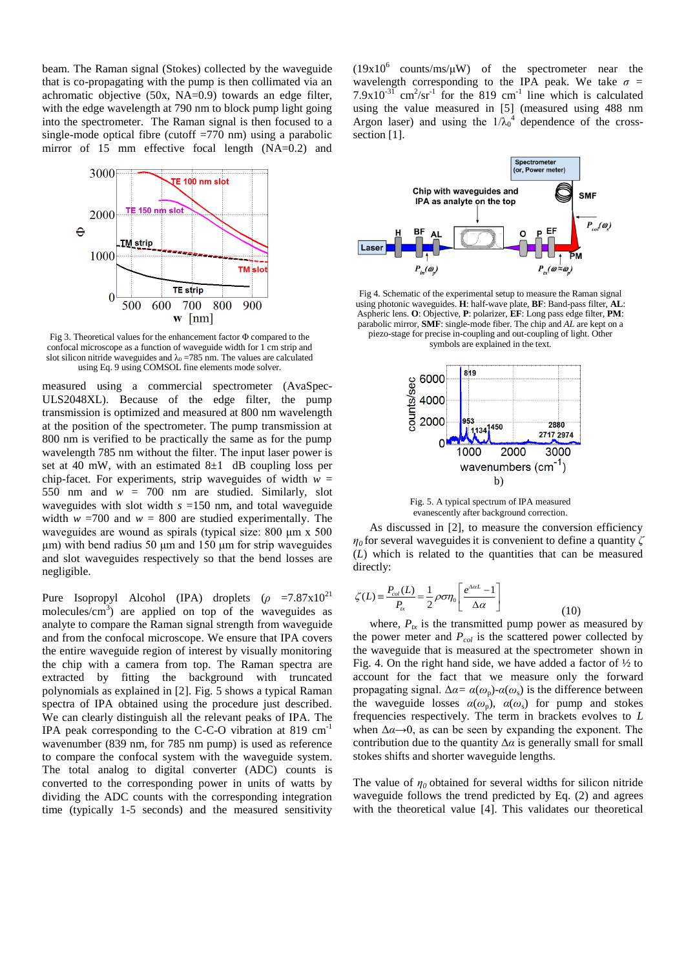beam. The Raman signal (Stokes) collected by the waveguide that is co-propagating with the pump is then collimated via an achromatic objective (50x, NA=0.9) towards an edge filter, with the edge wavelength at 790 nm to block pump light going into the spectrometer. The Raman signal is then focused to a single-mode optical fibre (cutoff  $=770$  nm) using a parabolic mirror of 15 mm effective focal length (NA=0.2) and



Fig 3. Theoretical values for the enhancement factor Φ compared to the confocal microscope as a function of waveguide width for 1 cm strip and slot silicon nitride waveguides and  $\lambda_0 = 785$  nm. The values are calculated using Eq. 9 using COMSOL fine elements mode solver.

measured using a commercial spectrometer (AvaSpec-ULS2048XL). Because of the edge filter, the pump transmission is optimized and measured at 800 nm wavelength at the position of the spectrometer. The pump transmission at 800 nm is verified to be practically the same as for the pump wavelength 785 nm without the filter. The input laser power is set at 40 mW, with an estimated  $8\pm1$  dB coupling loss per chip-facet. For experiments, strip waveguides of width  $w =$ 550 nm and  $w = 700$  nm are studied. Similarly, slot waveguides with slot width *s* =150 nm, and total waveguide width  $w = 700$  and  $w = 800$  are studied experimentally. The waveguides are wound as spirals (typical size: 800 μm x 500 μm) with bend radius 50 μm and 150 μm for strip waveguides and slot waveguides respectively so that the bend losses are negligible.

Pure Isopropyl Alcohol (IPA) droplets  $(\rho = 7.87 \times 10^{21}$ molecules/ $\text{cm}^3$ ) are applied on top of the waveguides as analyte to compare the Raman signal strength from waveguide and from the confocal microscope. We ensure that IPA covers the entire waveguide region of interest by visually monitoring the chip with a camera from top. The Raman spectra are extracted by fitting the background with truncated polynomials as explained in [2]. Fig. 5 shows a typical Raman spectra of IPA obtained using the procedure just described. We can clearly distinguish all the relevant peaks of IPA. The IPA peak corresponding to the C-C-O vibration at 819 cm-1 wavenumber (839 nm, for 785 nm pump) is used as reference to compare the confocal system with the waveguide system. The total analog to digital converter (ADC) counts is converted to the corresponding power in units of watts by dividing the ADC counts with the corresponding integration time (typically 1-5 seconds) and the measured sensitivity

 $(19x10^6$  counts/ms/ $\mu$ W) of the spectrometer near the wavelength corresponding to the IPA peak. We take  $\sigma$  =  $7.9 \times 10^{-31}$  cm<sup>2</sup>/sr<sup>-1</sup> for the 819 cm<sup>-1</sup> line which is calculated using the value measured in [5] (measured using 488 nm Argon laser) and using the  $1/\lambda_0^4$  dependence of the crosssection [1].



Fig 4. Schematic of the experimental setup to measure the Raman signal using photonic waveguides. **H**: half-wave plate, **BF**: Band-pass filter, **AL**: Aspheric lens. **O**: Objective, **P**: polarizer, **EF**: Long pass edge filter, **PM**: parabolic mirror, **SMF**: single-mode fiber. The chip and *AL* are kept on a piezo-stage for precise in-coupling and out-coupling of light. Other symbols are explained in the text.



Fig. 5. A typical spectrum of IPA measured evanescently after background correction.

As discussed in [2], to measure the conversion efficiency *η<sup>0</sup>* for several waveguidesit is convenient to define a quantity *ζ* (*L*) which is related to the quantities that can be measured directly:

$$
\zeta(L) = \frac{P_{col}(L)}{P_{tr}} = \frac{1}{2} \rho \sigma \eta_0 \left[ \frac{e^{\Delta \alpha L} - 1}{\Delta \alpha} \right]
$$
(10)

where,  $P_{tx}$  is the transmitted pump power as measured by the power meter and *Pcol* is the scattered power collected by the waveguide that is measured at the spectrometer shown in Fig. 4. On the right hand side, we have added a factor of  $\frac{1}{2}$  to account for the fact that we measure only the forward propagating signal.  $Δα = α(ω<sub>p</sub>) - α(ω<sub>s</sub>)$  is the difference between the waveguide losses  $\alpha(\omega_p)$ ,  $\alpha(\omega_s)$  for pump and stokes frequencies respectively. The term in brackets evolves to *L* when  $\Delta \alpha \rightarrow 0$ , as can be seen by expanding the exponent. The contribution due to the quantity  $\Delta \alpha$  is generally small for small stokes shifts and shorter waveguide lengths.

The value of  $\eta_0$  obtained for several widths for silicon nitride waveguide follows the trend predicted by Eq. (2) and agrees with the theoretical value [4]. This validates our theoretical